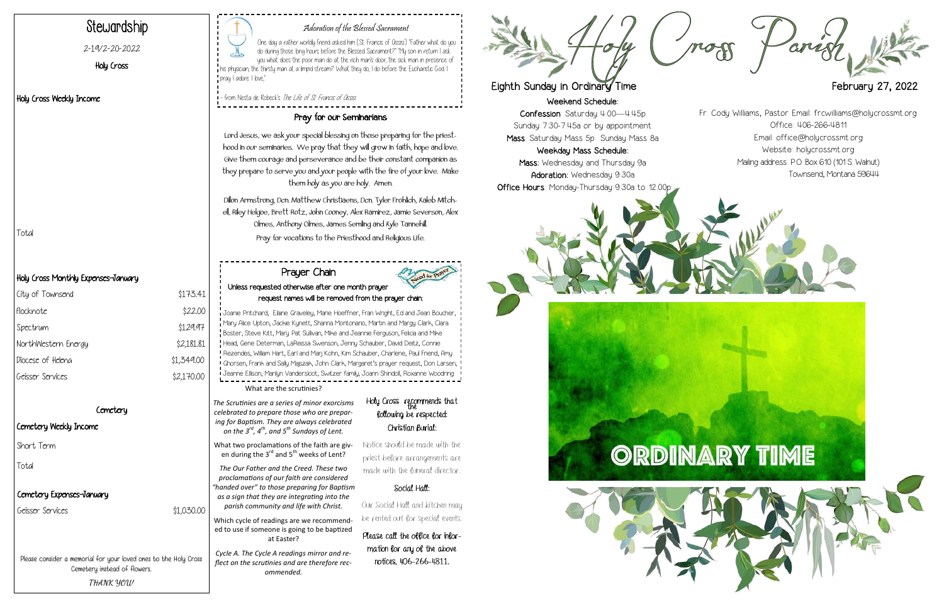Weekend Schedule:

Confession: Saturday 4:00—4:45p Sunday 7:30-7:45a or by appointment Mass: Saturday Mass 5p Sunday Mass 8a

Weekday Mass Schedule: Mass: Wednesday and Thursday 9a Adoration: Wednesday 9:30a Office Hours: Monday-Thursday 9:30a to 12:00p







#### Adoration of the Blessed Sacrament

One day a rather worldly friend asked him [St. Francis of Assisi]: "Father what do you do during those long hours before the Blessed Sacrament?" "My son in return I ask you what does the poor man do at the rich man's door, the sick man in presence of  $\mathsf I$  his physician, the thirsty man at a limpid stream? What they do, I do before the Eucharistic God. I pray. I adore. I love,"

| City of Townsend    | \$173.41   |
|---------------------|------------|
| Flocknote           | \$22.00    |
| Spectrum            | \$129.97   |
| NorthWestern Energy | \$2,181.81 |
| Diocese of Heleng   | \$1,349.00 |
| Geisser Services    | \$2,170.00 |
|                     |            |

#### Cemetery

- from Nesta de Robeck's The Life of St. Francis of Assisi

# Stewardship

2-19/2-20-2022

Holy Cross

#### Holy Cross Weekly Income

#### Holy Cross Monthly Expenses-January

What two proclamations of the faith are given during the  $3^{rd}$  and  $5^{th}$  weeks of Lent?

#### Cemetery Weekly Income

#### Pray for our Seminarians

Lord Jesus, we ask your special blessing on those preparing for the priesthood in our seminaries. We pray that they will grow in faith, hope and love. Give them courage and perseverance and be their constant companion as they prepare to serve you and your people with the fire of your love. Make them holy as you are holy. Amen.

## Holy Cross recommends that following be respected: Christian Burial:

Dillon Armstrong, Dcn. Matthew Christiaens, Dcn. Tyler Frohlich, Kaleb Mitchell, Riley Helgoe, Brett Rotz, John Cooney, Alex Ramirez, Jamie Severson, Alex Olmes, Anthony Olmes, James Semling and Kyle Tannehill. Pray for vocations to the Priesthood and Religious Life. Total

Please consider a memorial for your loved ones to the Holy Cross Cemetery instead of flowers. **THANK YOU!**

What are the scrutinies?

*The Scrutinies are a series of minor exorcisms celebrated to prepare those who are preparing for Baptism. They are always celebrated on the 3rd, 4th, and 5th Sundays of Lent.* 

*The Our Father and the Creed. These two proclamations of our faith are considered "handed over" to those preparing for Baptism as a sign that they are integrating into the parish community and life with Christ.* 

Which cycle of readings are we recommended to use if someone is going to be baptized at Easter?

*Cycle A. The Cycle A readings mirror and reflect on the scrutinies and are therefore recommended.* 

Notice should be made with the priest before arrangements are made with the funeral director.

## Social Hall:

Our Social Hall and kitchen may be rented out for special events.

Please call the office for information for any of the above notices, 406-266-4811.



## Eighth Sunday in Ordinary Time **February 27, 2022**

#### Prayer Chain Unless requested otherwise after one month prayer request names will be removed from the prayer chain:

Joanie Pritchard, Elaine Graveley, Marie Hoeffner, Fran Wright, Ed and Jean Boucher, Mary Alice Upton, Jackie Kynett, Shanna Montonario, Martin and Margy Clark, Clara Boster, Steve Kitt, Mary Pat Sullivan, Mike and Jeannie Ferguson, Felicia and Mike Head, Gene Determan, LaReissa Swenson, Jenny Schauber, David Deitz, Connie Rezendes, William Hart, Earl and Marj Kohn, Kim Schauber, Charlene, Paul Friend, Amy Ghorsen, Frank and Sally Majszak, John Clark, Margaret's prayer request, Don Larsen, Jeanne Ellison, Marilyn Vandersloot, Switzer family, Joann Shindoll, Roxanne Woodring

Fr. Cody Williams, Pastor Email: frcwilliams@holycrossmt.org Office: 406-266-4811 Email: office@holycrossmt.org Website: holycrossmt.org Mailing address: P.O. Box 610 (101 S. Walnut) Townsend, Montana 59644

## Cemetery Expenses-January

Geisser Services \$1,030.00

Short Term

Total